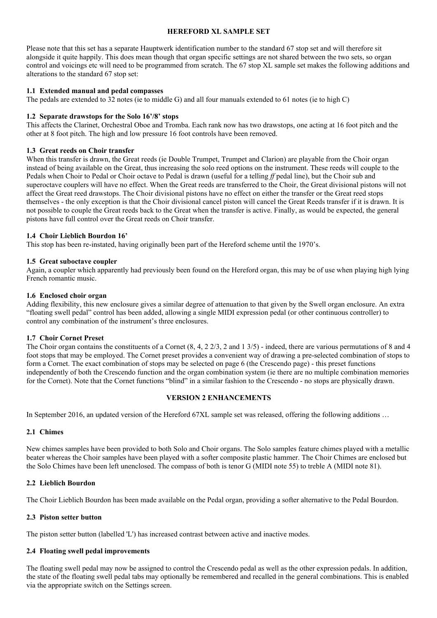## **HEREFORD XL SAMPLE SET**

Please note that this set has a separate Hauptwerk identification number to the standard 67 stop set and will therefore sit alongside it quite happily. This does mean though that organ specific settings are not shared between the two sets, so organ control and voicings etc will need to be programmed from scratch. The 67 stop XL sample set makes the following additions and alterations to the standard 67 stop set:

### **1.1 Extended manual and pedal compasses**

The pedals are extended to 32 notes (ie to middle G) and all four manuals extended to 61 notes (ie to high C)

## **1.2 Separate drawstops for the Solo 16'/8' stops**

This affects the Clarinet, Orchestral Oboe and Tromba. Each rank now has two drawstops, one acting at 16 foot pitch and the other at 8 foot pitch. The high and low pressure 16 foot controls have been removed.

### **1.3 Great reeds on Choir transfer**

When this transfer is drawn, the Great reeds (ie Double Trumpet, Trumpet and Clarion) are playable from the Choir organ instead of being available on the Great, thus increasing the solo reed options on the instrument. These reeds will couple to the Pedals when Choir to Pedal or Choir octave to Pedal is drawn (useful for a telling *ff* pedal line), but the Choir sub and superoctave couplers will have no effect. When the Great reeds are transferred to the Choir, the Great divisional pistons will not affect the Great reed drawstops. The Choir divisional pistons have no effect on either the transfer or the Great reed stops themselves - the only exception is that the Choir divisional cancel piston will cancel the Great Reeds transfer if it is drawn. It is not possible to couple the Great reeds back to the Great when the transfer is active. Finally, as would be expected, the general pistons have full control over the Great reeds on Choir transfer.

## **1.4 Choir Lieblich Bourdon 16'**

This stop has been re-instated, having originally been part of the Hereford scheme until the 1970's.

## **1.5 Great suboctave coupler**

Again, a coupler which apparently had previously been found on the Hereford organ, this may be of use when playing high lying French romantic music.

## **1.6 Enclosed choir organ**

Adding flexibility, this new enclosure gives a similar degree of attenuation to that given by the Swell organ enclosure. An extra "floating swell pedal" control has been added, allowing a single MIDI expression pedal (or other continuous controller) to control any combination of the instrument's three enclosures.

### **1.7 Choir Cornet Preset**

The Choir organ contains the constituents of a Cornet  $(8, 4, 2, 2/3, 2, 2, 1, 3/5)$  - indeed, there are various permutations of 8 and 4 foot stops that may be employed. The Cornet preset provides a convenient way of drawing a pre-selected combination of stops to form a Cornet. The exact combination of stops may be selected on page 6 (the Crescendo page) - this preset functions independently of both the Crescendo function and the organ combination system (ie there are no multiple combination memories for the Cornet). Note that the Cornet functions "blind" in a similar fashion to the Crescendo - no stops are physically drawn.

### **VERSION 2 ENHANCEMENTS**

In September 2016, an updated version of the Hereford 67XL sample set was released, offering the following additions …

# **2.1 Chimes**

New chimes samples have been provided to both Solo and Choir organs. The Solo samples feature chimes played with a metallic beater whereas the Choir samples have been played with a softer composite plastic hammer. The Choir Chimes are enclosed but the Solo Chimes have been left unenclosed. The compass of both is tenor G (MIDI note 55) to treble A (MIDI note 81).

# **2.2 Lieblich Bourdon**

The Choir Lieblich Bourdon has been made available on the Pedal organ, providing a softer alternative to the Pedal Bourdon.

# **2.3 Piston setter button**

The piston setter button (labelled 'L') has increased contrast between active and inactive modes.

# **2.4 Floating swell pedal improvements**

The floating swell pedal may now be assigned to control the Crescendo pedal as well as the other expression pedals. In addition, the state of the floating swell pedal tabs may optionally be remembered and recalled in the general combinations. This is enabled via the appropriate switch on the Settings screen.